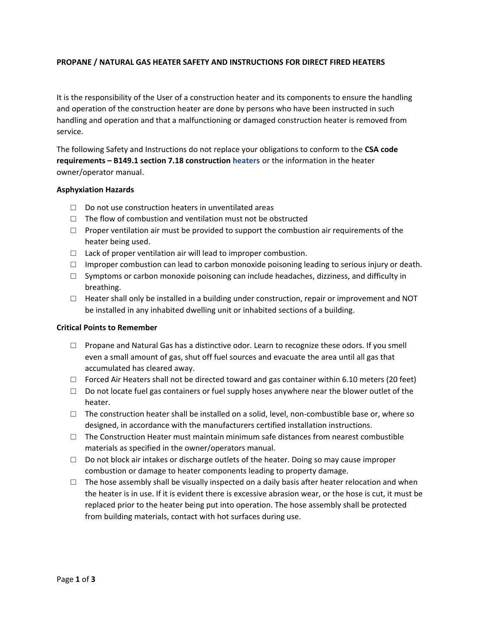# **PROPANE / NATURAL GAS HEATER SAFETY AND INSTRUCTIONS FOR DIRECT FIRED HEATERS**

It is the responsibility of the User of a construction heater and its components to ensure the handling and operation of the construction heater are done by persons who have been instructed in such handling and operation and that a malfunctioning or damaged construction heater is removed from service.

The following Safety and Instructions do not replace your obligations to conform to the **CSA code requirements – B149.1 section 7.18 construction heaters** or the information in the heater owner/operator manual.

### **Asphyxiation Hazards**

- $\Box$  Do not use construction heaters in unventilated areas
- $\Box$  The flow of combustion and ventilation must not be obstructed
- $\Box$  Proper ventilation air must be provided to support the combustion air requirements of the heater being used.
- $\Box$  Lack of proper ventilation air will lead to improper combustion.
- $\Box$  Improper combustion can lead to carbon monoxide poisoning leading to serious injury or death.
- $\square$  Symptoms or carbon monoxide poisoning can include headaches, dizziness, and difficulty in breathing.
- $\Box$  Heater shall only be installed in a building under construction, repair or improvement and NOT be installed in any inhabited dwelling unit or inhabited sections of a building.

## **Critical Points to Remember**

- $\Box$  Propane and Natural Gas has a distinctive odor. Learn to recognize these odors. If you smell even a small amount of gas, shut off fuel sources and evacuate the area until all gas that accumulated has cleared away.
- $\Box$  Forced Air Heaters shall not be directed toward and gas container within 6.10 meters (20 feet)
- $\Box$  Do not locate fuel gas containers or fuel supply hoses anywhere near the blower outlet of the heater.
- $\Box$  The construction heater shall be installed on a solid, level, non-combustible base or, where so designed, in accordance with the manufacturers certified installation instructions.
- $\square$  The Construction Heater must maintain minimum safe distances from nearest combustible materials as specified in the owner/operators manual.
- $\Box$  Do not block air intakes or discharge outlets of the heater. Doing so may cause improper combustion or damage to heater components leading to property damage.
- $\Box$  The hose assembly shall be visually inspected on a daily basis after heater relocation and when the heater is in use. If it is evident there is excessive abrasion wear, or the hose is cut, it must be replaced prior to the heater being put into operation. The hose assembly shall be protected from building materials, contact with hot surfaces during use.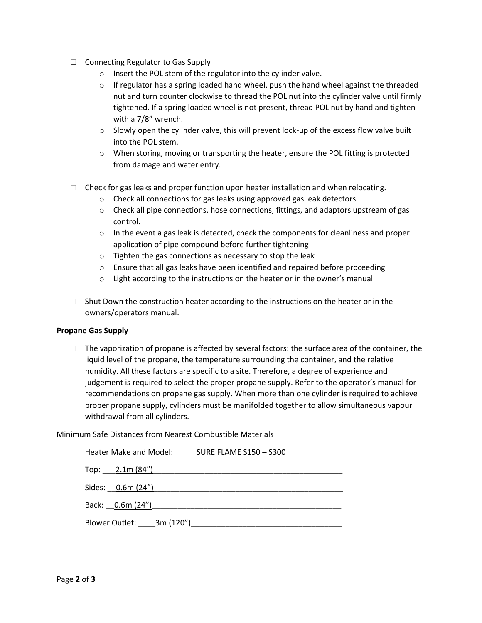- □ Connecting Regulator to Gas Supply
	- o Insert the POL stem of the regulator into the cylinder valve.
	- $\circ$  If regulator has a spring loaded hand wheel, push the hand wheel against the threaded nut and turn counter clockwise to thread the POL nut into the cylinder valve until firmly tightened. If a spring loaded wheel is not present, thread POL nut by hand and tighten with a 7/8" wrench.
	- $\circ$  Slowly open the cylinder valve, this will prevent lock-up of the excess flow valve built into the POL stem.
	- o When storing, moving or transporting the heater, ensure the POL fitting is protected from damage and water entry.
- $\Box$  Check for gas leaks and proper function upon heater installation and when relocating.
	- o Check all connections for gas leaks using approved gas leak detectors
	- $\circ$  Check all pipe connections, hose connections, fittings, and adaptors upstream of gas control.
	- $\circ$  In the event a gas leak is detected, check the components for cleanliness and proper application of pipe compound before further tightening
	- o Tighten the gas connections as necessary to stop the leak
	- $\circ$  Ensure that all gas leaks have been identified and repaired before proceeding
	- o Light according to the instructions on the heater or in the owner's manual
- $\Box$  Shut Down the construction heater according to the instructions on the heater or in the owners/operators manual.

### **Propane Gas Supply**

 $\Box$  The vaporization of propane is affected by several factors: the surface area of the container, the liquid level of the propane, the temperature surrounding the container, and the relative humidity. All these factors are specific to a site. Therefore, a degree of experience and judgement is required to select the proper propane supply. Refer to the operator's manual for recommendations on propane gas supply. When more than one cylinder is required to achieve proper propane supply, cylinders must be manifolded together to allow simultaneous vapour withdrawal from all cylinders.

### Minimum Safe Distances from Nearest Combustible Materials

| Heater Make and Model: SURE FLAME S150 - S300 |
|-----------------------------------------------|
|                                               |
|                                               |
| Back: 0.6m (24")                              |
| Blower Outlet: 3m (120")                      |